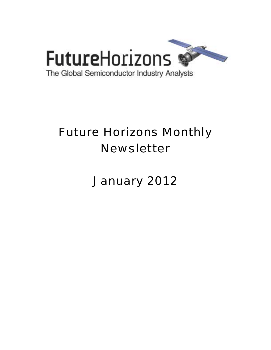

# Future Horizons Monthly Newsletter

January 2012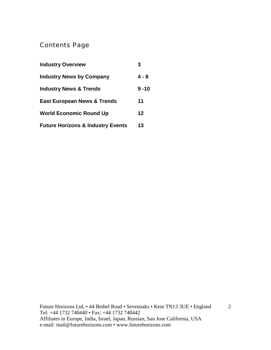# Contents Page

| <b>Industry Overview</b>                     | 3        |
|----------------------------------------------|----------|
| <b>Industry News by Company</b>              | $4 - 8$  |
| <b>Industry News &amp; Trends</b>            | $9 - 10$ |
| <b>East European News &amp; Trends</b>       | 11       |
| <b>World Economic Round Up</b>               | 12       |
| <b>Future Horizons &amp; Industry Events</b> | 13       |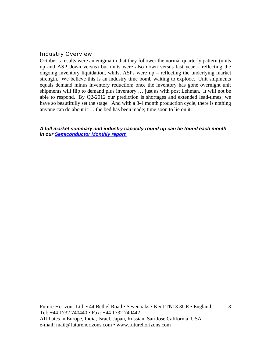#### Industry Overview

October's results were an enigma in that they follower the normal quarterly pattern (units up and ASP down versus) but units were also down versus last year – reflecting the ongoing inventory liquidation, whilst ASPs were up – reflecting the underlying market strength. We believe this is an industry time bomb waiting to explode. Unit shipments equals demand minus inventory reduction; once the inventory has gone overnight unit shipments will flip to demand plus inventory … just as with post Lehman. It will not be able to respond. By Q2-2012 our prediction is shortages and extended lead-times; we have so beautifully set the stage. And with a 3-4 month production cycle, there is nothing anyone can do about it … the bed has been made; time soon to lie on it.

*A full market summary and industry capacity round up can be found each month in our Semiconductor Monthly report.*

Future Horizons Ltd, • 44 Bethel Road • Sevenoaks • Kent TN13 3UE • England Tel: +44 1732 740440 • Fax: +44 1732 740442 Affiliates in Europe, India, Israel, Japan, Russian, San Jose California, USA e-mail: mail@futurehorizons.com • www.futurehorizons.com

3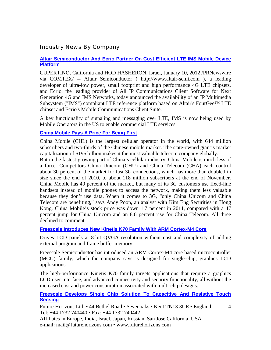# Industry News By Company

## **Altair Semiconductor And Ecrio Partner On Cost Efficient LTE IMS Mobile Device Platform**

CUPERTINO, California and HOD HASHERON, Israel, January 10, 2012 /PRNewswire via COMTEX/ -- Altair Semiconductor ( http://www.altair-semi.com ), a leading developer of ultra-low power, small footprint and high performance 4G LTE chipsets, and Ecrio, the leading provider of All IP Communications Client Software for Next Generation 4G and IMS Networks, today announced the availability of an IP Multimedia Subsystem ("IMS") compliant LTE reference platform based on Altair's FourGee™ LTE chipset and Ecrio's Mobile Communications Client Suite.

A key functionality of signaling and messaging over LTE, IMS is now being used by Mobile Operators in the US to enable commercial LTE services.

## **China Mobile Pays A Price For Being First**

China Mobile (CHL) is the largest cellular operator in the world, with 644 million subscribers and two-thirds of the Chinese mobile market. The state-owned giant's market capitalization of \$196 billion makes it the most valuable telecom company globally.

But in the fastest-growing part of China's cellular industry, China Mobile is much less of a force. Competitors China Unicom (CHU) and China Telecom (CHA) each control about 30 percent of the market for fast 3G connections, which has more than doubled in size since the end of 2010, to about 118 million subscribers at the end of November. China Mobile has 40 percent of the market, but many of its 3G customers use fixed-line handsets instead of mobile phones to access the network, making them less valuable because they don't use data. When it comes to 3G, "only China Unicom and China Telecom are benefiting," says Andy Poon, an analyst with Kim Eng Securities in Hong Kong. China Mobile's stock price was down 1.7 percent in 2011, compared with a 47 percent jump for China Unicom and an 8.6 percent rise for China Telecom. All three declined to comment.

**Freescale Introduces New Kinetis K70 Family With ARM Cortex-M4 Core**

Drives LCD panels at 8-bit QVGA resolution without cost and complexity of adding external program and frame buffer memory

Freescale Semiconductor has introduced an ARM Cortex-M4 core based microcontroller (MCU) family, which the company says is designed for single-chip, graphics LCD applications.

The high-performance Kinetis K70 family targets applications that require a graphics LCD user interface, and advanced connectivity and security functionality, all without the increased cost and power consumption associated with multi-chip designs.

**Freescale Develops Single Chip Solution To Capacitive And Resistive Touch Sensing**

Future Horizons Ltd, • 44 Bethel Road • Sevenoaks • Kent TN13 3UE • England Tel: +44 1732 740440 • Fax: +44 1732 740442

4

Affiliates in Europe, India, Israel, Japan, Russian, San Jose California, USA e-mail: mail@futurehorizons.com • www.futurehorizons.com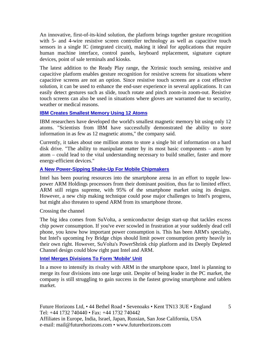An innovative, first-of-its-kind solution, the platform brings together gesture recognition with 5- and 4-wire resistive screen controller technology as well as capacitive touch sensors in a single IC (integrated circuit), making it ideal for applications that require human machine interface, control panels, keyboard replacement, signature capture devices, point of sale terminals and kiosks.

The latest addition to the Ready Play range, the Xtrinsic touch sensing, resistive and capacitive platform enables gesture recognition for resistive screens for situations where capacitive screens are not an option. Since resistive touch screens are a cost effective solution, it can be used to enhance the end-user experience in several applications. It can easily detect gestures such as slide, touch rotate and pinch zoom-in zoom-out. Resistive touch screens can also be used in situations where gloves are warranted due to security, weather or medical reasons.

## **IBM Creates Smallest Memory Using 12 Atoms**

IBM researchers have developed the world's smallest magnetic memory bit using only 12 atoms. "Scientists from IBM have successfully demonstrated the ability to store information in as few as 12 magnetic atoms," the company said.

Currently, it takes about one million atoms to store a single bit of information on a hard disk drive. "The ability to manipulate matter by its most basic components – atom by atom – could lead to the vital understanding necessary to build smaller, faster and more energy-efficient devices."

# **A New Power-Sipping Shake-Up For Mobile Chipmakers**

Intel has been pouring resources into the smartphone arena in an effort to topple lowpower ARM Holdings processors from their dominant position, thus far to limited effect. ARM still reigns supreme, with 95% of the smartphone market using its designs. However, a new chip making technique could pose major challenges to Intel's progress, but might also threaten to upend ARM from its smartphone throne.

#### Crossing the channel

The big idea comes from SuVolta, a semiconductor design start-up that tackles excess chip power consumption. If you've ever scowled in frustration at your suddenly dead cell phone, you know how important power consumption is. This has been ARM's specialty, but Intel's upcoming Ivy Bridge chips should limit power consumption pretty heavily in their own right. However, SuVolta's PowerShrink chip platform and its Deeply Depleted Channel design could blow right past Intel and ARM.

**Intel Merges Divisions To Form 'Mobile' Unit**

In a move to intensify its rivalry with ARM in the smartphone space, Intel is planning to merge its four divisions into one large unit. Despite of being leader in the PC market, the company is still struggling to gain success in the fastest growing smartphone and tablets market.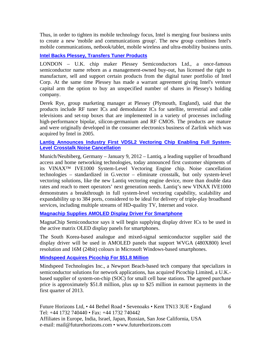Thus, in order to tighten its mobile technology focus, Intel is merging four business units to create a new 'mobile and communications group'. The new group combines Intel's mobile communications, netbook/tablet, mobile wireless and ultra-mobility business units.

# **Intel Backs Plessey, Transfers Tuner Products**

LONDON – U.K. chip maker Plessey Semiconductors Ltd., a once-famous semiconductor name reborn as a management-owned buy-out, has licensed the right to manufacture, sell and support certain products from the digital tuner portfolio of Intel Corp. At the same time Plessey has made a warrant agreement giving Intel's venture capital arm the option to buy an unspecified number of shares in Plessey's holding company.

Derek Rye, group marketing manager at Plessey (Plymouth, England), said that the products include RF tuner ICs and demodulator ICs for satellite, terrestrial and cable televisions and set-top boxes that are implemented in a variety of processes including high-performance bipolar, silicon-germanium and RF CMOS. The products are mature and were originally developed in the consumer electronics business of Zarlink which was acquired by Intel in 2005.

## **Lantiq Announces Industry First VDSL2 Vectoring Chip Enabling Full System-Level Crosstalk Noise Cancellation**

Munich/Neubiberg, Germany – January 9, 2012 – Lantiq, a leading supplier of broadband access and home networking technologies, today announced first customer shipments of its VINAX™ IVE1000 System-Level Vectoring Engine chip. Noise cancellation technologies – standardized in G.vector – eliminate crosstalk, but only system-level vectoring solutions, like the new Lantiq vectoring engine device, more than double data rates and reach to meet operators' next generation needs. Lantiq's new VINAX IVE1000 demonstrates a breakthrough in full system-level vectoring capability, scalability and expandability up to 384 ports, considered to be ideal for delivery of triple-play broadband services, including multiple streams of HD-quality TV, Internet and voice.

**Magnachip Supplies AMOLED Display Driver For Smartphone**

MagnaChip Semiconductor says it will begin supplying display driver ICs to be used in the active matrix OLED display panels for smartphones.

The South Korea-based analogue and mixed-signal semiconductor supplier said the display driver will be used in AMOLED panels that support WVGA (480X800) level resolution and 16M (24bit) colours in Microsoft Windows-based smartphones.

# **Mindspeed Acquires Picochip For \$51.8 Million**

Mindspeed Technologies Inc., a Newport Beach-based tech company that specializes in semiconductor solutions for network applications, has acquired Picochip Limited, a U.K. based supplier of system-on-chip (SOC) for small cell base stations. The agreed purchase price is approximately \$51.8 million, plus up to \$25 million in earnout payments in the first quarter of 2013.

Future Horizons Ltd, • 44 Bethel Road • Sevenoaks • Kent TN13 3UE • England Tel: +44 1732 740440 • Fax: +44 1732 740442 Affiliates in Europe, India, Israel, Japan, Russian, San Jose California, USA e-mail: mail@futurehorizons.com • www.futurehorizons.com

6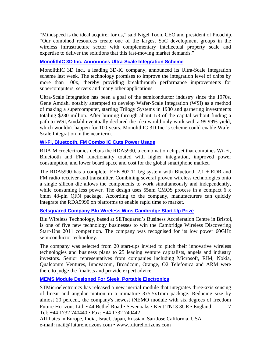"Mindspeed is the ideal acquirer for us," said Nigel Toon, CEO and president of Picochip. "Our combined resources create one of the largest SoC development groups in the wireless infrastructure sector with complementary intellectual property scale and expertise to deliver the solutions that this fast-moving market demands."

# **MonolithIC 3D Inc. Announces Ultra-Scale Integration Scheme**

MonolithIC 3D Inc., a leading 3D-IC company, announced its Ultra-Scale Integration scheme last week. The technology promises to improve the integration level of chips by more than 100x, thereby providing breakthrough performance improvements for supercomputers, servers and many other applications.

Ultra-Scale Integration has been a goal of the semiconductor industry since the 1970s. Gene Amdahl notably attempted to develop Wafer-Scale Integration (WSI) as a method of making a supercomputer, starting Trilogy Systems in 1980 and garnering investments totaling \$230 million. After burning through about 1/3 of the capital without finding a path to WSI,Amdahl eventually declared the idea would only work with a 99.99% yield, which wouldn't happen for 100 years. MonolithIC 3D Inc.'s scheme could enable Wafer Scale Integration in the near term.

# **Wi-Fi, Bluetooth, FM Combo IC Cuts Power Usage**

RDA Microelectronics debuts the RDA5990, a combination chipset that combines Wi-Fi, Bluetooth and FM functionality touted with higher integration, improved power consumption, and lower board space and cost for the global smartphone market.

The RDA5990 has a complete IEEE 802.11 b/g system with Bluetooth  $2.1 + EDR$  and FM radio receiver and transmitter. Combining several proven wireless technologies onto a single silicon die allows the components to work simultaneously and independently, while consuming less power. The design uses 55nm CMOS process in a compact 6 x 6mm 48-pin QFN package. According to the company, manufacturers can quickly integrate the RDA5990 on platforms to enable rapid time to market.

# **Setsquared Company Blu Wireless Wins Cambridge Start-Up Prize**

Blu Wireless Technology, based at SETsquared's Business Acceleration Centre in Bristol, is one of five new technology businesses to win the Cambridge Wireless Discovering Start-Ups 2011 competition. The company was recognised for its low power 60GHz semiconductor technology.

The company was selected from 20 start-ups invited to pitch their innovative wireless technologies and business plans to 25 leading venture capitalists, angels and industry investors. Senior representatives from companies including Microsoft, RIM, Nokia, Qualcomm Ventures, Innovacom, Broadcom, Orange, O2 Telefonica and ARM were there to judge the finalists and provide expert advice.

# **MEMS Module Designed For Sleek, Portable Electronics**

Future Horizons Ltd, • 44 Bethel Road • Sevenoaks • Kent TN13 3UE • England Tel: +44 1732 740440 • Fax: +44 1732 740442 7 STMicroelectronics has released a new inertial module that integrates three-axis sensing of linear and angular motion in a miniature 3x5.5x1mm package. Reducing size by almost 20 percent, the company's newest iNEMO module with six degrees of freedom

Affiliates in Europe, India, Israel, Japan, Russian, San Jose California, USA e-mail: mail@futurehorizons.com • www.futurehorizons.com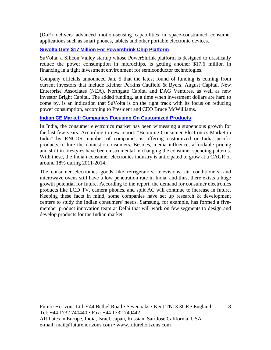(DoF) delivers advanced motion-sensing capabilities in space-constrained consumer applications such as smart phones, tablets and other portable electronic devices.

#### **Suvolta Gets \$17 Million For Powershrink Chip Platform**

SuVolta, a Silicon Valley startup whose PowerShrink platform is designed to drastically reduce the power consumption in microchips, is getting another \$17.6 million in financing in a tight investment environment for semiconductor technologies.

Company officials announced Jan. 5 that the latest round of funding is coming from current investors that include Kleiner Perkins Caufield & Byers, August Capital, New Enterprise Associates (NEA), Northgate Capital and DAG Ventures, as well as new investor Bright Capital. The added funding, at a time when investment dollars are hard to come by, is an indication that SuVolta is on the right track with its focus on reducing power consumption, according to President and CEO Bruce McWilliams.

#### **Indian CE Market: Companies Focusing On Customized Products**

In India, the consumer electronics market has been witnessing a stupendous growth for the last few years. According to new report, "Booming Consumer Electronics Market in India" by RNCOS, number of companies is offering customized or India-specific products to lure the domestic consumers. Besides, media influence, affordable pricing and shift in lifestyles have been instrumental in changing the consumer spending patterns. With these, the Indian consumer electronics industry is anticipated to grow at a CAGR of around 18% during 2011-2014.

The consumer electronics goods like refrigerators, televisions, air conditioners, and microwave ovens still have a low penetration rate in India, and thus, there exists a huge growth potential for future. According to the report, the demand for consumer electronics products like LCD TV, camera phones, and split AC will continue to increase in future. Keeping these facts in mind, some companies have set up research & development centers to study the Indian consumers' needs. Samsung, for example, has formed a fivemember product innovation team at Delhi that will work on few segments to design and develop products for the Indian market.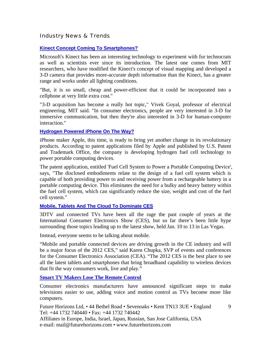Industry News & Trends

# **Kinect Concept Coming To Smartphones?**

Microsoft's Kinect has been an interesting technology to experiment with for technocrats as well as scientists ever since its introduction. The latest one comes from MIT researchers, who have modified the Kinect's concept of visual mapping and developed a 3-D camera that provides more-accurate depth information than the Kinect, has a greater range and works under all lighting conditions.

"But, it is so small, cheap and power-efficient that it could be incorporated into a cellphone at very little extra cost."

"3-D acquisition has become a really hot topic," Vivek Goyal, professor of electrical engineering, MIT said. "In consumer electronics, people are very interested in 3-D for immersive communication, but then they're also interested in 3-D for human-computer interaction."

## **Hydrogen Powered iPhone On The Way?**

iPhone maker Apple, this time, is ready to bring yet another change in its revolutionary products. According to patent applications filed by Apple and published by U.S. Patent and Trademark Office, the company is developing hydrogen fuel cell technology to power portable computing devices.

The patent application, entitled 'Fuel Cell System to Power a Portable Computing Device', says, "The disclosed embodiments relate to the design of a fuel cell system which is capable of both providing power to and receiving power from a rechargeable battery in a portable computing device. This eliminates the need for a bulky and heavy battery within the fuel cell system, which can significantly reduce the size, weight and cost of the fuel cell system."

# **Mobile, Tablets And The Cloud To Dominate CES**

3DTV and connected TVs have been all the rage the past couple of years at the International Consumer Electronics Show (CES), but so far there's been little hype surrounding those topics leading up to the latest show, held Jan. 10 to 13 in Las Vegas.

Instead, everyone seems to be talking about mobile.

"Mobile and portable connected devices are driving growth in the CE industry and will be a major focus of the 2012 CES," said Karen Chupka, SVP of events and conferences for the Consumer Electronics Association (CEA). "The 2012 CES is the best place to see all the latest tablets and smartphones that bring broadband capability to wireless devices that fit the way consumers work, live and play."

**Smart TV Makers Lose The Remote Control** 

Consumer electronics manufacturers have announced significant steps to make televisions easier to use, adding voice and motion control as TVs become more like computers.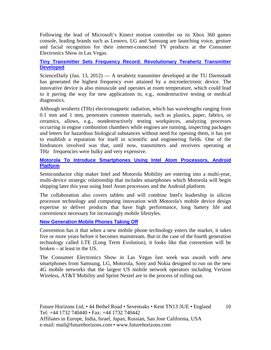Following the lead of Microsoft's Kinect motion controller on its Xbox 360 games console, leading brands such as Lenovo, LG and Samsung are launching voice, gesture and facial recognition for their internet-connected TV products at the Consumer Electronics Show in Las Vegas.

#### **Tiny Transmitter Sets Frequency Record: Revolutionary Terahertz Transmitter Developed**

ScienceDaily (Jan. 13,  $2012$ ) — A terahertz transmitter developed at the TU Darmstadt has generated the highest frequency ever attained by a microelectronic device. The innovative device is also minuscule and operates at room temperature, which could lead to it paving the way for new applications in, e.g., nondestructive testing or medical diagnostics.

Although terahertz (THz) electromagnetic radiation, which has wavelengths ranging from 0.1 mm and 1 mm, penetrates common materials, such as plastics, paper, fabrics, or ceramics, allows, e.g., nondestructively testing workpieces, analyzing processes occurring in engine combustion chambers while engines are running, inspecting packages and letters for hazardous biological substances without need for opening them, it has yet to establish a reputation for itself in scientific and engineering fields. One of the hindrances involved was that, until now, transmitters and receivers operating at THz frequencies were bulky and very expensive.

## **Motorola To Introduce Smartphones Using Intel Atom Processors, Android Platform**

Semiconductor chip maker Intel and Motorola Mobility are entering into a multi-year, multi-device strategic relationship that includes smartphones which Motorola will begin shipping later this year using Intel Atom processors and the Android platform.

The collaboration also covers tablets and will combine Intel's leadership in silicon processor technology and computing innovation with Motorola's mobile device design expertise to deliver products that have high performance, long battery life and convenience necessary for increasingly mobile lifestyles.

#### **New Generation Mobile Phones Taking Off**

Convention has it that when a new mobile phone technology enters the market, it takes five or more years before it becomes mainstream. But in the case of the fourth generation technology called LTE (Long Term Evolution), it looks like that convention will be broken – at least in the US.

The Consumer Electronics Show in Las Vegas last week was awash with new smartphones from Samsung, LG, Motorola, Sony and Nokia designed to run on the new 4G mobile networks that the largest US mobile network operators including Verizon Wireless, AT&T Mobility and Sprint Nextel are in the process of rolling out.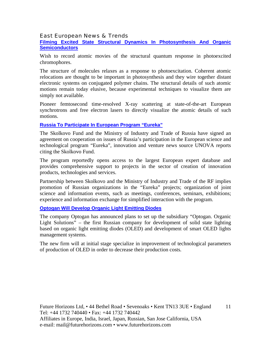#### East European News & Trends

**Filming Excited State Structural Dynamics In Photosynthesis And Organic Semiconductors**

Wish to record atomic movies of the structural quantum response in photoexcited chromophores.

The structure of molecules relaxes as a response to photoexcitation. Coherent atomic relocations are thought to be important in photosynthesis and they wire together distant electronic systems on conjugated polymer chains. The structural details of such atomic motions remain today elusive, because experimental techniques to visualize them are simply not available.

Pioneer femtosecond time-resolved X-ray scattering at state-of-the-art European synchrotrons and free electron lasers to directly visualize the atomic details of such motions.

#### **Russia To Participate In European Program "Eureka"**

The Skolkovo Fund and the Ministry of Industry and Trade of Russia have signed an agreement on cooperation on issues of Russia's participation in the European science and technological program "Eureka", innovation and venture news source UNOVA reports citing the Skolkovo Fund.

The program reportedly opens access to the largest European expert database and provides comprehensive support to projects in the sector of creation of innovation products, technologies and services.

Partnership between Skolkovo and the Ministry of Industry and Trade of the RF implies promotion of Russian organizations in the "Eureka" projects; organization of joint science and information events, such as meetings, conferences, seminars, exhibitions; experience and information exchange for simplified interaction with the program.

#### **Optogan Will Develop Organic Light Emitting Diodes**

The company Optogan has announced plans to set up the subsidiary "Optogan. Organic Light Solutions" – the first Russian company for development of solid state lighting based on organic light emitting diodes (OLED) and development of smart OLED lights management systems.

The new firm will at initial stage specialize in improvement of technological parameters of production of OLED in order to decrease their production costs.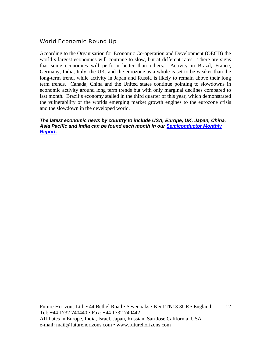# World Economic Round Up

According to the Organisation for Economic Co-operation and Development (OECD**)** the world's largest economies will continue to slow, but at different rates. There are signs that some economies will perform better than others. Activity in Brazil, France, Germany, India, Italy, the UK, and the eurozone as a whole is set to be weaker than the long-term trend, while activity in Japan and Russia is likely to remain above their long term trends. Canada, China and the United states continue pointing to slowdowns in economic activity around long term trends but with only marginal declines compared to last month. Brazil's economy stalled in the third quarter of this year, which demonstrated the vulnerability of the worlds emerging market growth engines to the eurozone crisis and the slowdown in the developed world.

#### *The latest economic news by country to include USA, Europe, UK, Japan, China, Asia Pacific and India can be found each month in our Semiconductor Monthly Report.*